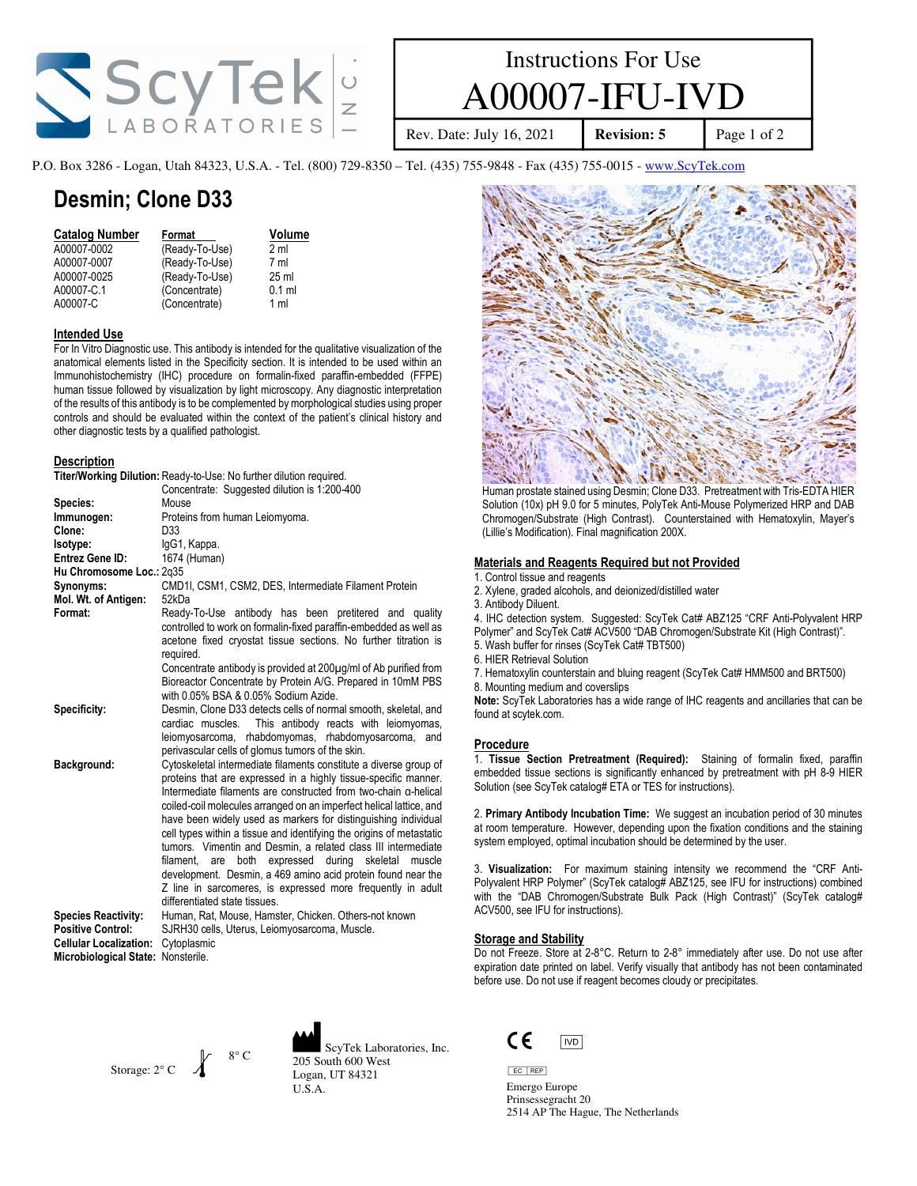

# Instructions For Use A00007-IFU-IVD

Rev. Date: July 16, 2021 **Revision: 5** Page 1 of 2

P.O. Box 3286 - Logan, Utah 84323, U.S.A. - Tel. (800) 729-8350 – Tel. (435) 755-9848 - Fax (435) 755-0015 - www.ScyTek.com

### Desmin; Clone D33

| <b>Catalog Number</b> | Format         | Volume           |
|-----------------------|----------------|------------------|
| A00007-0002           | (Ready-To-Use) | 2 ml             |
| A00007-0007           | (Ready-To-Use) | 7 ml             |
| A00007-0025           | (Ready-To-Use) | 25 <sub>ml</sub> |
| A00007-C.1            | (Concentrate)  | $0.1$ ml         |
| A00007-C              | (Concentrate)  | 1 ml             |

#### Intended Use

For In Vitro Diagnostic use. This antibody is intended for the qualitative visualization of the anatomical elements listed in the Specificity section. It is intended to be used within an Immunohistochemistry (IHC) procedure on formalin-fixed paraffin-embedded (FFPE) human tissue followed by visualization by light microscopy. Any diagnostic interpretation of the results of this antibody is to be complemented by morphological studies using proper controls and should be evaluated within the context of the patient's clinical history and other diagnostic tests by a qualified pathologist.

Titer/Working Dilution: Ready-to-Use: No further dilution required.

#### **Description**

|                                    | <b>Tref/Working Dilution:</b> Ready-to-Use: No further dilution required.                                                                                                                                                                                                                                                                                                                                                                                                                                                                                                                                                                                                                                                          |
|------------------------------------|------------------------------------------------------------------------------------------------------------------------------------------------------------------------------------------------------------------------------------------------------------------------------------------------------------------------------------------------------------------------------------------------------------------------------------------------------------------------------------------------------------------------------------------------------------------------------------------------------------------------------------------------------------------------------------------------------------------------------------|
|                                    | Concentrate: Suggested dilution is 1:200-400                                                                                                                                                                                                                                                                                                                                                                                                                                                                                                                                                                                                                                                                                       |
| Species:                           | Mouse                                                                                                                                                                                                                                                                                                                                                                                                                                                                                                                                                                                                                                                                                                                              |
| Immunogen:                         | Proteins from human Leiomyoma.                                                                                                                                                                                                                                                                                                                                                                                                                                                                                                                                                                                                                                                                                                     |
| Clone:                             | D33                                                                                                                                                                                                                                                                                                                                                                                                                                                                                                                                                                                                                                                                                                                                |
| Isotype:                           | IgG1, Kappa.                                                                                                                                                                                                                                                                                                                                                                                                                                                                                                                                                                                                                                                                                                                       |
| Entrez Gene ID:                    | 1674 (Human)                                                                                                                                                                                                                                                                                                                                                                                                                                                                                                                                                                                                                                                                                                                       |
| Hu Chromosome Loc.: 2q35           |                                                                                                                                                                                                                                                                                                                                                                                                                                                                                                                                                                                                                                                                                                                                    |
| Synonyms:                          | CMD1I, CSM1, CSM2, DES, Intermediate Filament Protein                                                                                                                                                                                                                                                                                                                                                                                                                                                                                                                                                                                                                                                                              |
| Mol. Wt. of Antigen:               | 52kDa                                                                                                                                                                                                                                                                                                                                                                                                                                                                                                                                                                                                                                                                                                                              |
| Format:                            | Ready-To-Use antibody has been pretitered and quality<br>controlled to work on formalin-fixed paraffin-embedded as well as<br>acetone fixed cryostat tissue sections. No further titration is<br>required.<br>Concentrate antibody is provided at 200µg/ml of Ab purified from<br>Bioreactor Concentrate by Protein A/G. Prepared in 10mM PBS                                                                                                                                                                                                                                                                                                                                                                                      |
|                                    | with 0.05% BSA & 0.05% Sodium Azide.                                                                                                                                                                                                                                                                                                                                                                                                                                                                                                                                                                                                                                                                                               |
| Specificity:                       | Desmin, Clone D33 detects cells of normal smooth, skeletal, and<br>This antibody reacts with leiomyomas,<br>cardiac muscles.<br>leiomyosarcoma, rhabdomyomas, rhabdomyosarcoma,<br>and<br>perivascular cells of glomus tumors of the skin.                                                                                                                                                                                                                                                                                                                                                                                                                                                                                         |
| Background:                        | Cytoskeletal intermediate filaments constitute a diverse group of<br>proteins that are expressed in a highly tissue-specific manner.<br>Intermediate filaments are constructed from two-chain a-helical<br>coiled-coil molecules arranged on an imperfect helical lattice, and<br>have been widely used as markers for distinguishing individual<br>cell types within a tissue and identifying the origins of metastatic<br>tumors. Vimentin and Desmin, a related class III intermediate<br>both<br>expressed<br>during<br>skeletal<br>filament.<br>are<br>muscle<br>development. Desmin, a 469 amino acid protein found near the<br>Z line in sarcomeres, is expressed more frequently in adult<br>differentiated state tissues. |
| <b>Species Reactivity:</b>         | Human, Rat, Mouse, Hamster, Chicken. Others-not known                                                                                                                                                                                                                                                                                                                                                                                                                                                                                                                                                                                                                                                                              |
| <b>Positive Control:</b>           | SJRH30 cells, Uterus, Leiomyosarcoma, Muscle.                                                                                                                                                                                                                                                                                                                                                                                                                                                                                                                                                                                                                                                                                      |
| <b>Cellular Localization:</b>      | Cytoplasmic                                                                                                                                                                                                                                                                                                                                                                                                                                                                                                                                                                                                                                                                                                                        |
| Microbiological State: Nonsterile. |                                                                                                                                                                                                                                                                                                                                                                                                                                                                                                                                                                                                                                                                                                                                    |

Storage:  $2^{\circ}$  C  $\qquad$  $8^\circ$  C





Human prostate stained using Desmin; Clone D33. Pretreatment with Tris-EDTA HIER Solution (10x) pH 9.0 for 5 minutes, PolyTek Anti-Mouse Polymerized HRP and DAB Chromogen/Substrate (High Contrast). Counterstained with Hematoxylin, Mayer's (Lillie's Modification). Final magnification 200X.

#### Materials and Reagents Required but not Provided

- 1. Control tissue and reagents
- 2. Xylene, graded alcohols, and deionized/distilled water
- 3. Antibody Diluent.

4. IHC detection system. Suggested: ScyTek Cat# ABZ125 "CRF Anti-Polyvalent HRP Polymer" and ScyTek Cat# ACV500 "DAB Chromogen/Substrate Kit (High Contrast)".

- 5. Wash buffer for rinses (ScyTek Cat# TBT500)
- 6. HIER Retrieval Solution
- 7. Hematoxylin counterstain and bluing reagent (ScyTek Cat# HMM500 and BRT500)
- 8. Mounting medium and coverslips

Note: ScyTek Laboratories has a wide range of IHC reagents and ancillaries that can be found at scytek.com.

#### **Procedure**

1. Tissue Section Pretreatment (Required): Staining of formalin fixed, paraffin embedded tissue sections is significantly enhanced by pretreatment with pH 8-9 HIER Solution (see ScyTek catalog# ETA or TES for instructions).

2. Primary Antibody Incubation Time: We suggest an incubation period of 30 minutes at room temperature. However, depending upon the fixation conditions and the staining system employed, optimal incubation should be determined by the user.

3. Visualization: For maximum staining intensity we recommend the "CRF Anti-Polyvalent HRP Polymer" (ScyTek catalog# ABZ125, see IFU for instructions) combined with the "DAB Chromogen/Substrate Bulk Pack (High Contrast)" (ScyTek catalog# ACV500, see IFU for instructions).

#### Storage and Stability

Do not Freeze. Store at 2-8°C. Return to 2-8° immediately after use. Do not use after expiration date printed on label. Verify visually that antibody has not been contaminated before use. Do not use if reagent becomes cloudy or precipitates.



EC REP Emergo Europe Prinsessegracht 20 2514 AP The Hague, The Netherlands